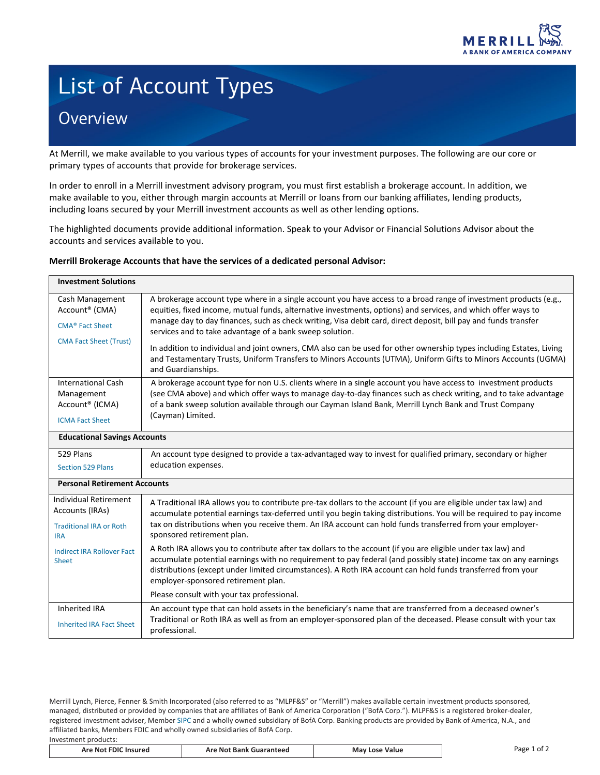

## List of Account Types **Overview**

At Merrill, we make available to you various types of accounts for your investment purposes. The following are our core or primary types of accounts that provide for brokerage services.

In order to enroll in a Merrill investment advisory program, you must first establish a brokerage account. In addition, we make available to you, either through margin accounts at Merrill or loans from our banking affiliates, lending products, including loans secured by your Merrill investment accounts as well as other lending options.

The highlighted documents provide additional information. Speak to your Advisor or Financial Solutions Advisor about the accounts and services available to you.

## **Merrill Brokerage Accounts that have the services of a dedicated personal Advisor:**

| <b>Investment Solutions</b>                                                                                                                          |                                                                                                                                                                                                                                                                                                                                                                                                                                                                                                                                                                                                                                                                                                                                                                               |  |
|------------------------------------------------------------------------------------------------------------------------------------------------------|-------------------------------------------------------------------------------------------------------------------------------------------------------------------------------------------------------------------------------------------------------------------------------------------------------------------------------------------------------------------------------------------------------------------------------------------------------------------------------------------------------------------------------------------------------------------------------------------------------------------------------------------------------------------------------------------------------------------------------------------------------------------------------|--|
| Cash Management<br>Account <sup>®</sup> (CMA)<br><b>CMA<sup>®</sup></b> Fact Sheet<br><b>CMA Fact Sheet (Trust)</b>                                  | A brokerage account type where in a single account you have access to a broad range of investment products (e.g.,<br>equities, fixed income, mutual funds, alternative investments, options) and services, and which offer ways to<br>manage day to day finances, such as check writing, Visa debit card, direct deposit, bill pay and funds transfer<br>services and to take advantage of a bank sweep solution.<br>In addition to individual and joint owners, CMA also can be used for other ownership types including Estates, Living<br>and Testamentary Trusts, Uniform Transfers to Minors Accounts (UTMA), Uniform Gifts to Minors Accounts (UGMA)<br>and Guardianships.                                                                                              |  |
| <b>International Cash</b><br>Management<br>Account <sup>®</sup> (ICMA)<br><b>ICMA Fact Sheet</b>                                                     | A brokerage account type for non U.S. clients where in a single account you have access to investment products<br>(see CMA above) and which offer ways to manage day-to-day finances such as check writing, and to take advantage<br>of a bank sweep solution available through our Cayman Island Bank, Merrill Lynch Bank and Trust Company<br>(Cayman) Limited.                                                                                                                                                                                                                                                                                                                                                                                                             |  |
| <b>Educational Savings Accounts</b>                                                                                                                  |                                                                                                                                                                                                                                                                                                                                                                                                                                                                                                                                                                                                                                                                                                                                                                               |  |
| 529 Plans<br><b>Section 529 Plans</b>                                                                                                                | An account type designed to provide a tax-advantaged way to invest for qualified primary, secondary or higher<br>education expenses.                                                                                                                                                                                                                                                                                                                                                                                                                                                                                                                                                                                                                                          |  |
| <b>Personal Retirement Accounts</b>                                                                                                                  |                                                                                                                                                                                                                                                                                                                                                                                                                                                                                                                                                                                                                                                                                                                                                                               |  |
| <b>Individual Retirement</b><br>Accounts (IRAs)<br><b>Traditional IRA or Roth</b><br><b>IRA</b><br><b>Indirect IRA Rollover Fact</b><br><b>Sheet</b> | A Traditional IRA allows you to contribute pre-tax dollars to the account (if you are eligible under tax law) and<br>accumulate potential earnings tax-deferred until you begin taking distributions. You will be required to pay income<br>tax on distributions when you receive them. An IRA account can hold funds transferred from your employer-<br>sponsored retirement plan.<br>A Roth IRA allows you to contribute after tax dollars to the account (if you are eligible under tax law) and<br>accumulate potential earnings with no requirement to pay federal (and possibly state) income tax on any earnings<br>distributions (except under limited circumstances). A Roth IRA account can hold funds transferred from your<br>employer-sponsored retirement plan. |  |
|                                                                                                                                                      | Please consult with your tax professional.                                                                                                                                                                                                                                                                                                                                                                                                                                                                                                                                                                                                                                                                                                                                    |  |
| <b>Inherited IRA</b><br><b>Inherited IRA Fact Sheet</b>                                                                                              | An account type that can hold assets in the beneficiary's name that are transferred from a deceased owner's<br>Traditional or Roth IRA as well as from an employer-sponsored plan of the deceased. Please consult with your tax<br>professional.                                                                                                                                                                                                                                                                                                                                                                                                                                                                                                                              |  |

Merrill Lynch, Pierce, Fenner & Smith Incorporated (also referred to as "MLPF&S" or "Merrill") makes available certain investment products sponsored, managed, distributed or provided by companies that are affiliates of Bank of America Corporation ("BofA Corp."). MLPF&S is a registered broker-dealer, registered investment adviser, Member [SIPC](https://www.sipc.org/) and a wholly owned subsidiary of BofA Corp. Banking products are provided by Bank of America, N.A., and affiliated banks, Members FDIC and wholly owned subsidiaries of BofA Corp. Investment products:

| <b>Are Not FDIC</b><br>Page<br>Value<br>Mav<br>e Not Bank Guaranteed<br><b>Insured</b><br>Are<br>Losr | nt. |
|-------------------------------------------------------------------------------------------------------|-----|
|-------------------------------------------------------------------------------------------------------|-----|